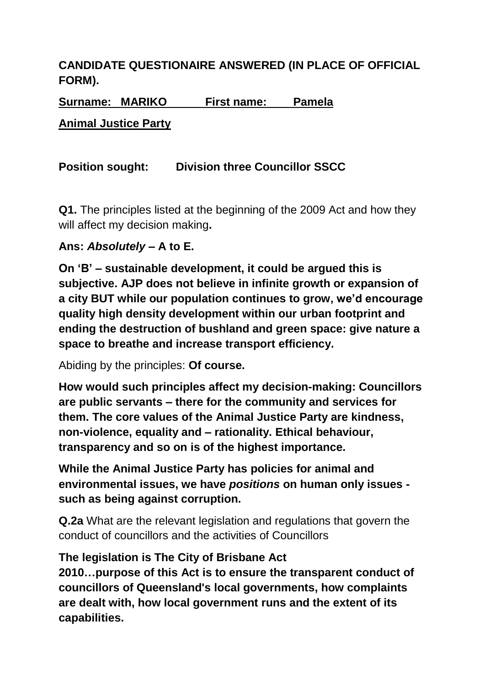# **CANDIDATE QUESTIONAIRE ANSWERED (IN PLACE OF OFFICIAL FORM).**

**Surname: MARIKO First name: Pamela**

**Animal Justice Party**

## **Position sought: Division three Councillor SSCC**

**Q1.** The principles listed at the beginning of the 2009 Act and how they will affect my decision making**.**

### **Ans:** *Absolutely* **– A to E.**

**On 'B' – sustainable development, it could be argued this is subjective. AJP does not believe in infinite growth or expansion of a city BUT while our population continues to grow, we'd encourage quality high density development within our urban footprint and ending the destruction of bushland and green space: give nature a space to breathe and increase transport efficiency.** 

Abiding by the principles: **Of course.**

**How would such principles affect my decision-making: Councillors are public servants – there for the community and services for them. The core values of the Animal Justice Party are kindness, non-violence, equality and – rationality. Ethical behaviour, transparency and so on is of the highest importance.**

**While the Animal Justice Party has policies for animal and environmental issues, we have** *positions* **on human only issues such as being against corruption.**

**Q.2a** What are the relevant legislation and regulations that govern the conduct of councillors and the activities of Councillors

### **The legislation is The City of Brisbane Act**

**2010…purpose of this Act is to ensure the transparent conduct of councillors of Queensland's local governments, how complaints are dealt with, how local government runs and the extent of its capabilities.**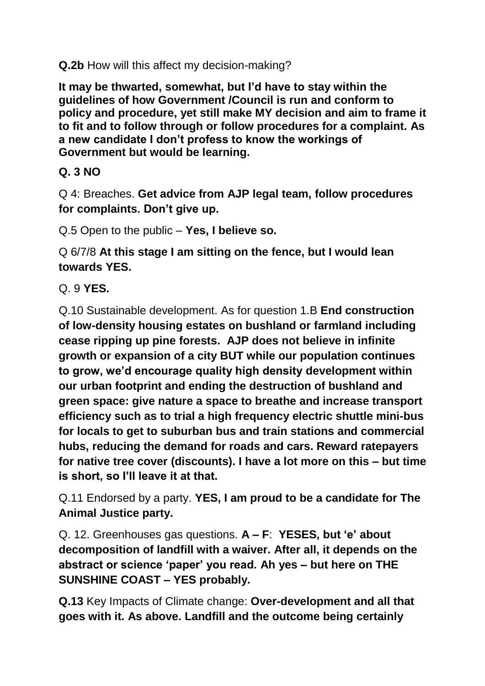**Q.2b** How will this affect my decision-making?

**It may be thwarted, somewhat, but I'd have to stay within the guidelines of how Government /Council is run and conform to policy and procedure, yet still make MY decision and aim to frame it to fit and to follow through or follow procedures for a complaint. As a new candidate I don't profess to know the workings of Government but would be learning.** 

### **Q. 3 NO**

Q 4: Breaches. **Get advice from AJP legal team, follow procedures for complaints. Don't give up.**

Q.5 Open to the public – **Yes, I believe so.**

Q 6/7/8 **At this stage I am sitting on the fence, but I would lean towards YES.**

Q. 9 **YES.**

Q.10 Sustainable development. As for question 1.B **End construction of low-density housing estates on bushland or farmland including cease ripping up pine forests. AJP does not believe in infinite growth or expansion of a city BUT while our population continues to grow, we'd encourage quality high density development within our urban footprint and ending the destruction of bushland and green space: give nature a space to breathe and increase transport efficiency such as to trial a high frequency electric shuttle mini-bus for locals to get to suburban bus and train stations and commercial hubs, reducing the demand for roads and cars. Reward ratepayers for native tree cover (discounts). I have a lot more on this – but time is short, so I'll leave it at that.**

Q.11 Endorsed by a party. **YES, I am proud to be a candidate for The Animal Justice party.**

Q. 12. Greenhouses gas questions. **A – F**: **YESES, but 'e' about decomposition of landfill with a waiver. After all, it depends on the abstract or science 'paper' you read. Ah yes – but here on THE SUNSHINE COAST – YES probably.** 

**Q.13** Key Impacts of Climate change: **Over-development and all that goes with it. As above. Landfill and the outcome being certainly**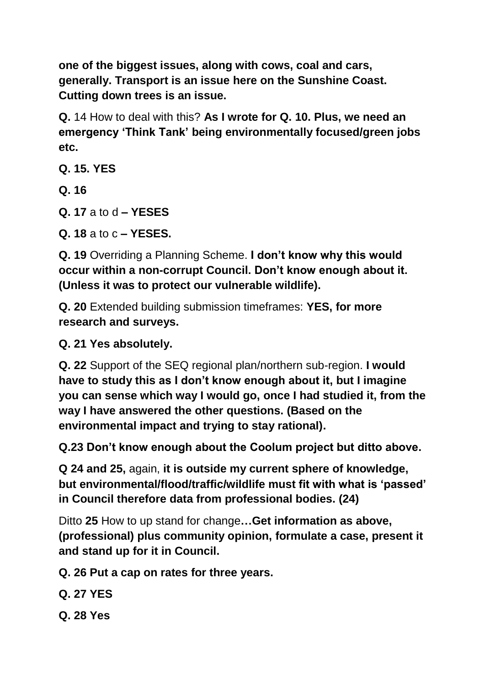**one of the biggest issues, along with cows, coal and cars, generally. Transport is an issue here on the Sunshine Coast. Cutting down trees is an issue.**

**Q.** 14 How to deal with this? **As I wrote for Q. 10. Plus, we need an emergency 'Think Tank' being environmentally focused/green jobs etc.**

**Q. 15. YES**

**Q. 16**

**Q. 17** a to d **– YESES**

**Q. 18** a to c **– YESES.**

**Q. 19** Overriding a Planning Scheme. **I don't know why this would occur within a non-corrupt Council. Don't know enough about it. (Unless it was to protect our vulnerable wildlife).**

**Q. 20** Extended building submission timeframes: **YES, for more research and surveys.**

**Q. 21 Yes absolutely.**

**Q. 22** Support of the SEQ regional plan/northern sub-region. **I would have to study this as I don't know enough about it, but I imagine you can sense which way I would go, once I had studied it, from the way I have answered the other questions. (Based on the environmental impact and trying to stay rational).**

**Q.23 Don't know enough about the Coolum project but ditto above.**

**Q 24 and 25,** again, **it is outside my current sphere of knowledge, but environmental/flood/traffic/wildlife must fit with what is 'passed' in Council therefore data from professional bodies. (24)**

Ditto **25** How to up stand for change**…Get information as above, (professional) plus community opinion, formulate a case, present it and stand up for it in Council.**

**Q. 26 Put a cap on rates for three years.**

**Q. 27 YES**

**Q. 28 Yes**